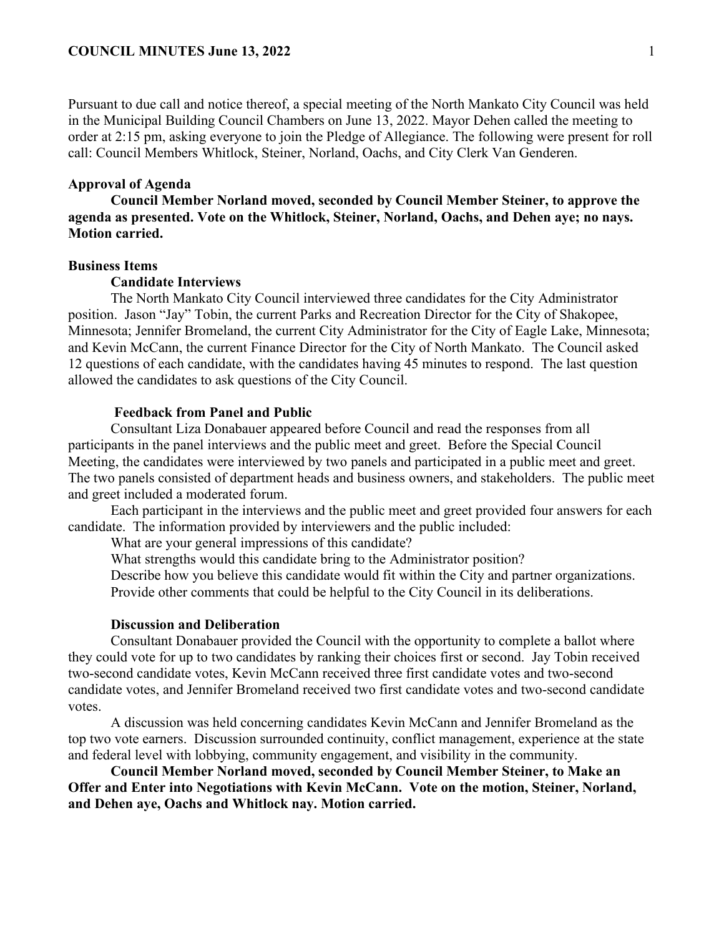Pursuant to due call and notice thereof, a special meeting of the North Mankato City Council was held in the Municipal Building Council Chambers on June 13, 2022. Mayor Dehen called the meeting to order at 2:15 pm, asking everyone to join the Pledge of Allegiance. The following were present for roll call: Council Members Whitlock, Steiner, Norland, Oachs, and City Clerk Van Genderen.

# **Approval of Agenda**

**Council Member Norland moved, seconded by Council Member Steiner, to approve the agenda as presented. Vote on the Whitlock, Steiner, Norland, Oachs, and Dehen aye; no nays. Motion carried.** 

## **Business Items**

## **Candidate Interviews**

The North Mankato City Council interviewed three candidates for the City Administrator position. Jason "Jay" Tobin, the current Parks and Recreation Director for the City of Shakopee, Minnesota; Jennifer Bromeland, the current City Administrator for the City of Eagle Lake, Minnesota; and Kevin McCann, the current Finance Director for the City of North Mankato. The Council asked 12 questions of each candidate, with the candidates having 45 minutes to respond. The last question allowed the candidates to ask questions of the City Council.

## **Feedback from Panel and Public**

Consultant Liza Donabauer appeared before Council and read the responses from all participants in the panel interviews and the public meet and greet. Before the Special Council Meeting, the candidates were interviewed by two panels and participated in a public meet and greet. The two panels consisted of department heads and business owners, and stakeholders. The public meet and greet included a moderated forum.

Each participant in the interviews and the public meet and greet provided four answers for each candidate. The information provided by interviewers and the public included:

What are your general impressions of this candidate?

What strengths would this candidate bring to the Administrator position?

Describe how you believe this candidate would fit within the City and partner organizations. Provide other comments that could be helpful to the City Council in its deliberations.

## **Discussion and Deliberation**

Consultant Donabauer provided the Council with the opportunity to complete a ballot where they could vote for up to two candidates by ranking their choices first or second. Jay Tobin received two-second candidate votes, Kevin McCann received three first candidate votes and two-second candidate votes, and Jennifer Bromeland received two first candidate votes and two-second candidate votes.

A discussion was held concerning candidates Kevin McCann and Jennifer Bromeland as the top two vote earners. Discussion surrounded continuity, conflict management, experience at the state and federal level with lobbying, community engagement, and visibility in the community.

**Council Member Norland moved, seconded by Council Member Steiner, to Make an Offer and Enter into Negotiations with Kevin McCann. Vote on the motion, Steiner, Norland, and Dehen aye, Oachs and Whitlock nay. Motion carried.**